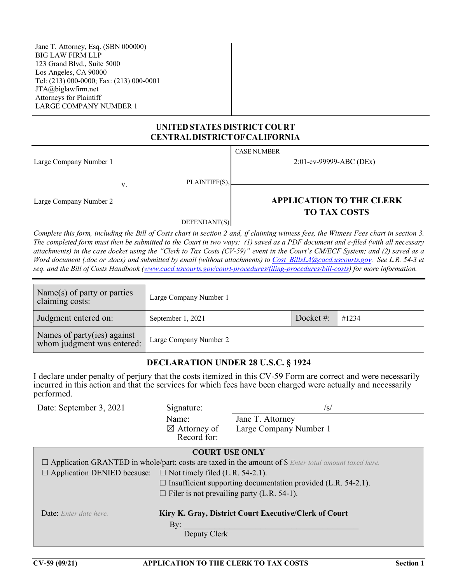Jane T. Attorney, Esq. (SBN 000000) BIG LAW FIRM LLP 123 Grand Blvd., Suite 5000 Los Angeles, CA 90000 Tel: (213) 000-0000; Fax: (213) 000-0001 JTA@biglawfirm.net Attorneys for Plaintiff LARGE COMPANY NUMBER 1

#### **UNITED STATES DISTRICT COURT CENTRALDISTRICTOFCALIFORNIA**

|                        |    |               | <b>CASE NUMBER</b>              |
|------------------------|----|---------------|---------------------------------|
| Large Company Number 1 |    |               | 2:01-cv-99999-ABC (DEx)         |
|                        |    |               |                                 |
|                        | V. | PLAINTIFF(S), |                                 |
|                        |    |               |                                 |
| Large Company Number 2 |    |               | <b>APPLICATION TO THE CLERK</b> |
|                        |    |               | <b>TO TAX COSTS</b>             |
|                        |    | DEFENDANT(S)  |                                 |

*Complete this form, including the Bill of Costs chart in section 2 and, if claiming witness fees, the Witness Fees chart in section 3. The completed form must then be submitted to the Court in two ways: (1) saved as a PDF document and e-filed (with all necessary attachments) in the case docket using the "Clerk to Tax Costs (CV-59)" event in the Court's CM/ECF System; and (2) saved as a Word document (.doc or .docx) and submitted by email (without attachments) t[o Cost\\_BillsLA@cacd.uscourts.gov.](mailto:Cost_BillsLA@cacd.uscourts.gov) See L.R. 54-3 et seq. and the Bill of Costs Handbook [\(www.cacd.uscourts.gov/court-procedures/filing-procedures/bill-costs\)](http://www.cacd.uscourts.gov/court-procedures/filing-procedures/bill-costs) for more information.*

| Name(s) of party or parties<br>claiming costs:            | Large Company Number 1 |           |       |  |
|-----------------------------------------------------------|------------------------|-----------|-------|--|
| Judgment entered on:                                      | September 1, 2021      | Docket #: | #1234 |  |
| Names of party(ies) against<br>whom judgment was entered: | Large Company Number 2 |           |       |  |

#### **DECLARATION UNDER 28 U.S.C. § 1924**

I declare under penalty of perjury that the costs itemized in this CV-59 Form are correct and were necessarily incurred in this action and that the services for which fees have been charged were actually and necessarily performed.

| Date: September 3, 2021                                                         | Signature:                                                           | /s/                                                                                                                 |  |  |  |  |
|---------------------------------------------------------------------------------|----------------------------------------------------------------------|---------------------------------------------------------------------------------------------------------------------|--|--|--|--|
|                                                                                 | Name:                                                                | Jane T. Attorney                                                                                                    |  |  |  |  |
|                                                                                 | $\boxtimes$ Attorney of                                              | Large Company Number 1                                                                                              |  |  |  |  |
|                                                                                 | Record for:                                                          |                                                                                                                     |  |  |  |  |
|                                                                                 | <b>COURT USE ONLY</b>                                                |                                                                                                                     |  |  |  |  |
|                                                                                 |                                                                      | $\Box$ Application GRANTED in whole/part; costs are taxed in the amount of \$ <i>Enter total amount taxed here.</i> |  |  |  |  |
| $\Box$ Application DENIED because: $\Box$ Not timely filed (L.R. 54-2.1).       |                                                                      |                                                                                                                     |  |  |  |  |
|                                                                                 | $\Box$ Insufficient supporting documentation provided (L.R. 54-2.1). |                                                                                                                     |  |  |  |  |
|                                                                                 | $\Box$ Filer is not prevailing party (L.R. 54-1).                    |                                                                                                                     |  |  |  |  |
| Kiry K. Gray, District Court Executive/Clerk of Court<br>Date: Enter date here. |                                                                      |                                                                                                                     |  |  |  |  |
| By:<br>Deputy Clerk                                                             |                                                                      |                                                                                                                     |  |  |  |  |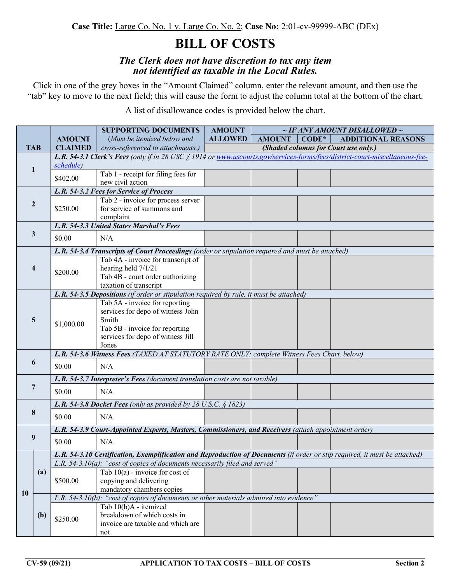# **BILL OF COSTS**

#### *The Clerk does not have discretion to tax any item not identified as taxable in the Local Rules.*

Click in one of the grey boxes in the "Amount Claimed" column, enter the relevant amount, and then use the "tab" key to move to the next field; this will cause the form to adjust the column total at the bottom of the chart.

A list of disallowance codes is provided below the chart.

|                         |                |                                                                                                                       | <b>SUPPORTING DOCUMENTS</b>                                                                                                                                                                               | <b>AMOUNT</b>                        |               | $\sim$ IF ANY AMOUNT DISALLOWED $\sim$ |                           |  |  |  |
|-------------------------|----------------|-----------------------------------------------------------------------------------------------------------------------|-----------------------------------------------------------------------------------------------------------------------------------------------------------------------------------------------------------|--------------------------------------|---------------|----------------------------------------|---------------------------|--|--|--|
|                         |                | <b>AMOUNT</b>                                                                                                         | (Must be itemized below and                                                                                                                                                                               | <b>ALLOWED</b>                       | <b>AMOUNT</b> | $CODE*$                                | <b>ADDITIONAL REASONS</b> |  |  |  |
|                         | <b>TAB</b>     | <b>CLAIMED</b>                                                                                                        | cross-referenced to attachments.)                                                                                                                                                                         | (Shaded columns for Court use only.) |               |                                        |                           |  |  |  |
|                         |                |                                                                                                                       | L.R. 54-3.1 Clerk's Fees (only if in 28 USC § 1914 or www.uscourts.gov/services-forms/fees/district-court-miscellaneous-fee-                                                                              |                                      |               |                                        |                           |  |  |  |
| $\mathbf{1}$            |                | schedule)                                                                                                             |                                                                                                                                                                                                           |                                      |               |                                        |                           |  |  |  |
|                         |                | \$402.00                                                                                                              | Tab 1 - receipt for filing fees for                                                                                                                                                                       |                                      |               |                                        |                           |  |  |  |
|                         |                |                                                                                                                       | new civil action<br>L.R. 54-3.2 Fees for Service of Process                                                                                                                                               |                                      |               |                                        |                           |  |  |  |
|                         |                |                                                                                                                       | Tab 2 - invoice for process server                                                                                                                                                                        |                                      |               |                                        |                           |  |  |  |
| $\boldsymbol{2}$        |                | \$250.00                                                                                                              | for service of summons and                                                                                                                                                                                |                                      |               |                                        |                           |  |  |  |
|                         |                |                                                                                                                       | complaint                                                                                                                                                                                                 |                                      |               |                                        |                           |  |  |  |
|                         |                | L.R. 54-3.3 United States Marshal's Fees                                                                              |                                                                                                                                                                                                           |                                      |               |                                        |                           |  |  |  |
| $\mathbf{3}$            |                | \$0.00                                                                                                                | N/A                                                                                                                                                                                                       |                                      |               |                                        |                           |  |  |  |
|                         |                |                                                                                                                       |                                                                                                                                                                                                           |                                      |               |                                        |                           |  |  |  |
|                         |                |                                                                                                                       | L.R. 54-3.4 Transcripts of Court Proceedings (order or stipulation required and must be attached)<br>Tab 4A - invoice for transcript of                                                                   |                                      |               |                                        |                           |  |  |  |
| $\overline{\mathbf{4}}$ |                |                                                                                                                       | hearing held 7/1/21                                                                                                                                                                                       |                                      |               |                                        |                           |  |  |  |
|                         |                | \$200.00                                                                                                              | Tab 4B - court order authorizing                                                                                                                                                                          |                                      |               |                                        |                           |  |  |  |
|                         |                |                                                                                                                       | taxation of transcript                                                                                                                                                                                    |                                      |               |                                        |                           |  |  |  |
|                         |                |                                                                                                                       | L.R. 54-3.5 Depositions (if order or stipulation required by rule, it must be attached)                                                                                                                   |                                      |               |                                        |                           |  |  |  |
|                         |                |                                                                                                                       | Tab 5A - invoice for reporting                                                                                                                                                                            |                                      |               |                                        |                           |  |  |  |
|                         |                | \$1,000.00                                                                                                            | services for depo of witness John                                                                                                                                                                         |                                      |               |                                        |                           |  |  |  |
|                         | 5              |                                                                                                                       | Smith                                                                                                                                                                                                     |                                      |               |                                        |                           |  |  |  |
|                         |                |                                                                                                                       | Tab 5B - invoice for reporting                                                                                                                                                                            |                                      |               |                                        |                           |  |  |  |
|                         |                |                                                                                                                       | services for depo of witness Jill<br>Jones                                                                                                                                                                |                                      |               |                                        |                           |  |  |  |
|                         |                |                                                                                                                       | L.R. 54-3.6 Witness Fees (TAXED AT STATUTORY RATE ONLY; complete Witness Fees Chart, below)                                                                                                               |                                      |               |                                        |                           |  |  |  |
|                         | 6              | \$0.00                                                                                                                | N/A                                                                                                                                                                                                       |                                      |               |                                        |                           |  |  |  |
|                         |                |                                                                                                                       |                                                                                                                                                                                                           |                                      |               |                                        |                           |  |  |  |
|                         | $\overline{7}$ |                                                                                                                       | L.R. 54-3.7 Interpreter's Fees (document translation costs are not taxable)                                                                                                                               |                                      |               |                                        |                           |  |  |  |
|                         |                | \$0.00                                                                                                                | N/A                                                                                                                                                                                                       |                                      |               |                                        |                           |  |  |  |
|                         |                | L.R. 54-3.8 Docket Fees (only as provided by 28 U.S.C. $\S$ 1823)                                                     |                                                                                                                                                                                                           |                                      |               |                                        |                           |  |  |  |
| 8                       |                | \$0.00                                                                                                                | N/A                                                                                                                                                                                                       |                                      |               |                                        |                           |  |  |  |
|                         |                |                                                                                                                       |                                                                                                                                                                                                           |                                      |               |                                        |                           |  |  |  |
| 9                       |                | L.R. 54-3.9 Court-Appointed Experts, Masters, Commissioners, and Receivers (attach appointment order)                 |                                                                                                                                                                                                           |                                      |               |                                        |                           |  |  |  |
|                         |                | \$0.00                                                                                                                | N/A                                                                                                                                                                                                       |                                      |               |                                        |                           |  |  |  |
|                         |                |                                                                                                                       |                                                                                                                                                                                                           |                                      |               |                                        |                           |  |  |  |
| 10                      |                |                                                                                                                       | L.R. 54-3.10 Certification, Exemplification and Reproduction of Documents (if order or stip required, it must be attached)<br>L.R. 54-3.10(a): "cost of copies of documents necessarily filed and served" |                                      |               |                                        |                           |  |  |  |
|                         | (a)            |                                                                                                                       | Tab $10(a)$ - invoice for cost of                                                                                                                                                                         |                                      |               |                                        |                           |  |  |  |
|                         |                | \$500.00                                                                                                              | copying and delivering                                                                                                                                                                                    |                                      |               |                                        |                           |  |  |  |
|                         |                | mandatory chambers copies<br>L.R. 54-3.10(b): "cost of copies of documents or other materials admitted into evidence" |                                                                                                                                                                                                           |                                      |               |                                        |                           |  |  |  |
|                         |                |                                                                                                                       |                                                                                                                                                                                                           |                                      |               |                                        |                           |  |  |  |
|                         |                |                                                                                                                       | Tab 10(b)A - itemized<br>breakdown of which costs in                                                                                                                                                      |                                      |               |                                        |                           |  |  |  |
|                         | (b)            | \$250.00                                                                                                              | invoice are taxable and which are                                                                                                                                                                         |                                      |               |                                        |                           |  |  |  |
|                         |                |                                                                                                                       | not                                                                                                                                                                                                       |                                      |               |                                        |                           |  |  |  |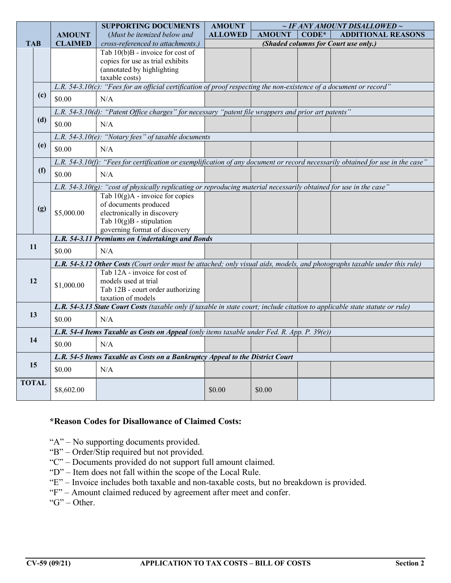|              |     |                                                                                                                            | <b>SUPPORTING DOCUMENTS</b>                                                                                                                         | <b>AMOUNT</b>  | $\sim$ IF ANY AMOUNT DISALLOWED $\sim$ |         |                           |  |  |
|--------------|-----|----------------------------------------------------------------------------------------------------------------------------|-----------------------------------------------------------------------------------------------------------------------------------------------------|----------------|----------------------------------------|---------|---------------------------|--|--|
|              |     | <b>AMOUNT</b>                                                                                                              | (Must be itemized below and                                                                                                                         | <b>ALLOWED</b> | <b>AMOUNT</b>                          | $CODE*$ | <b>ADDITIONAL REASONS</b> |  |  |
| <b>TAB</b>   |     | <b>CLAIMED</b>                                                                                                             | cross-referenced to attachments.)                                                                                                                   |                | (Shaded columns for Court use only.)   |         |                           |  |  |
|              |     |                                                                                                                            | Tab $10(b)B$ - invoice for cost of                                                                                                                  |                |                                        |         |                           |  |  |
|              |     |                                                                                                                            | copies for use as trial exhibits                                                                                                                    |                |                                        |         |                           |  |  |
|              |     |                                                                                                                            | (annotated by highlighting                                                                                                                          |                |                                        |         |                           |  |  |
|              |     |                                                                                                                            | taxable costs)                                                                                                                                      |                |                                        |         |                           |  |  |
|              | (c) | L.R. 54-3.10 $(c)$ : "Fees for an official certification of proof respecting the non-existence of a document or record"    |                                                                                                                                                     |                |                                        |         |                           |  |  |
|              |     | \$0.00                                                                                                                     | N/A                                                                                                                                                 |                |                                        |         |                           |  |  |
|              |     | L.R. 54-3.10(d): "Patent Office charges" for necessary "patent file wrappers and prior art patents"                        |                                                                                                                                                     |                |                                        |         |                           |  |  |
|              | (d) | \$0.00                                                                                                                     | N/A                                                                                                                                                 |                |                                        |         |                           |  |  |
|              |     |                                                                                                                            | L.R. 54-3.10(e): "Notary fees" of taxable documents                                                                                                 |                |                                        |         |                           |  |  |
|              | (e) | \$0.00                                                                                                                     | N/A                                                                                                                                                 |                |                                        |         |                           |  |  |
|              |     |                                                                                                                            |                                                                                                                                                     |                |                                        |         |                           |  |  |
|              |     |                                                                                                                            | L.R. 54-3.10(f): "Fees for certification or exemplification of any document or record necessarily obtained for use in the case"                     |                |                                        |         |                           |  |  |
|              | (f) | \$0.00                                                                                                                     | N/A                                                                                                                                                 |                |                                        |         |                           |  |  |
|              |     |                                                                                                                            | L.R. 54-3.10(g): "cost of physically replicating or reproducing material necessarily obtained for use in the case"                                  |                |                                        |         |                           |  |  |
|              |     |                                                                                                                            | Tab $10(g)$ A - invoice for copies                                                                                                                  |                |                                        |         |                           |  |  |
|              | (g) |                                                                                                                            | of documents produced                                                                                                                               |                |                                        |         |                           |  |  |
|              |     | \$5,000.00                                                                                                                 | electronically in discovery                                                                                                                         |                |                                        |         |                           |  |  |
|              |     |                                                                                                                            | Tab $10(g)B$ - stipulation                                                                                                                          |                |                                        |         |                           |  |  |
|              |     |                                                                                                                            | governing format of discovery                                                                                                                       |                |                                        |         |                           |  |  |
|              | 11  |                                                                                                                            | L.R. 54-3.11 Premiums on Undertakings and Bonds                                                                                                     |                |                                        |         |                           |  |  |
|              |     | \$0.00                                                                                                                     | N/A                                                                                                                                                 |                |                                        |         |                           |  |  |
|              |     | L.R. 54-3.12 Other Costs (Court order must be attached; only visual aids, models, and photographs taxable under this rule) |                                                                                                                                                     |                |                                        |         |                           |  |  |
|              |     |                                                                                                                            | Tab 12A - invoice for cost of                                                                                                                       |                |                                        |         |                           |  |  |
|              | 12  | \$1,000.00                                                                                                                 | models used at trial                                                                                                                                |                |                                        |         |                           |  |  |
|              |     |                                                                                                                            | Tab 12B - court order authorizing                                                                                                                   |                |                                        |         |                           |  |  |
|              |     |                                                                                                                            | taxation of models<br>L.R. 54-3.13 State Court Costs (taxable only if taxable in state court; include citation to applicable state statute or rule) |                |                                        |         |                           |  |  |
| 13           |     |                                                                                                                            |                                                                                                                                                     |                |                                        |         |                           |  |  |
|              |     | \$0.00                                                                                                                     | N/A                                                                                                                                                 |                |                                        |         |                           |  |  |
|              |     | L.R. 54-4 Items Taxable as Costs on Appeal (only items taxable under Fed. R. App. P. 39(e))                                |                                                                                                                                                     |                |                                        |         |                           |  |  |
| 14           |     | \$0.00                                                                                                                     | N/A                                                                                                                                                 |                |                                        |         |                           |  |  |
| 15           |     | L.R. 54-5 Items Taxable as Costs on a Bankruptcy Appeal to the District Court                                              |                                                                                                                                                     |                |                                        |         |                           |  |  |
|              |     | \$0.00                                                                                                                     | N/A                                                                                                                                                 |                |                                        |         |                           |  |  |
| <b>TOTAL</b> |     |                                                                                                                            |                                                                                                                                                     |                |                                        |         |                           |  |  |
|              |     | \$8,602.00                                                                                                                 |                                                                                                                                                     | \$0.00         | \$0.00                                 |         |                           |  |  |
|              |     |                                                                                                                            |                                                                                                                                                     |                |                                        |         |                           |  |  |

### **\*Reason Codes for Disallowance of Claimed Costs:**

"A" – No supporting documents provided.

- "B" Order/Stip required but not provided.
- "C" Documents provided do not support full amount claimed.
- "D" Item does not fall within the scope of the Local Rule.
- "E" Invoice includes both taxable and non-taxable costs, but no breakdown is provided.
- "F" Amount claimed reduced by agreement after meet and confer.

" $G$ " – Other.